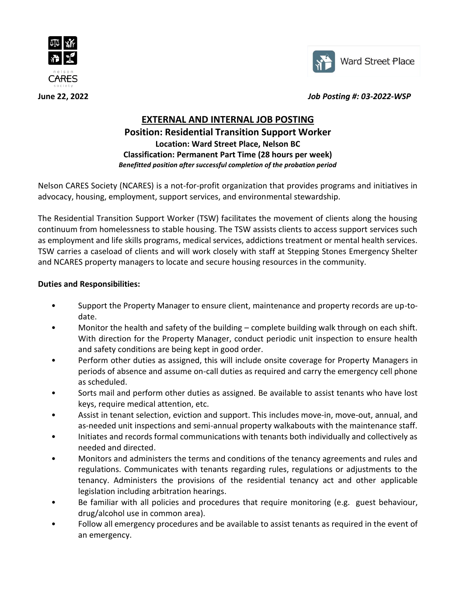



**June 22, 2022** *Job Posting #: 03-2022-WSP*

# **EXTERNAL AND INTERNAL JOB POSTING Position: Residential Transition Support Worker Location: Ward Street Place, Nelson BC**

**Classification: Permanent Part Time (28 hours per week)** *Benefitted position after successful completion of the probation period*

Nelson CARES Society (NCARES) is a not-for-profit organization that provides programs and initiatives in advocacy, housing, employment, support services, and environmental stewardship.

The Residential Transition Support Worker (TSW) facilitates the movement of clients along the housing continuum from homelessness to stable housing. The TSW assists clients to access support services such as employment and life skills programs, medical services, addictions treatment or mental health services. TSW carries a caseload of clients and will work closely with staff at Stepping Stones Emergency Shelter and NCARES property managers to locate and secure housing resources in the community.

## **Duties and Responsibilities:**

- Support the Property Manager to ensure client, maintenance and property records are up-todate.
- Monitor the health and safety of the building complete building walk through on each shift. With direction for the Property Manager, conduct periodic unit inspection to ensure health and safety conditions are being kept in good order.
- Perform other duties as assigned, this will include onsite coverage for Property Managers in periods of absence and assume on-call duties as required and carry the emergency cell phone as scheduled.
- Sorts mail and perform other duties as assigned. Be available to assist tenants who have lost keys, require medical attention, etc.
- Assist in tenant selection, eviction and support. This includes move-in, move-out, annual, and as-needed unit inspections and semi-annual property walkabouts with the maintenance staff.
- Initiates and records formal communications with tenants both individually and collectively as needed and directed.
- Monitors and administers the terms and conditions of the tenancy agreements and rules and regulations. Communicates with tenants regarding rules, regulations or adjustments to the tenancy. Administers the provisions of the residential tenancy act and other applicable legislation including arbitration hearings.
- Be familiar with all policies and procedures that require monitoring (e.g. guest behaviour, drug/alcohol use in common area).
- Follow all emergency procedures and be available to assist tenants as required in the event of an emergency.